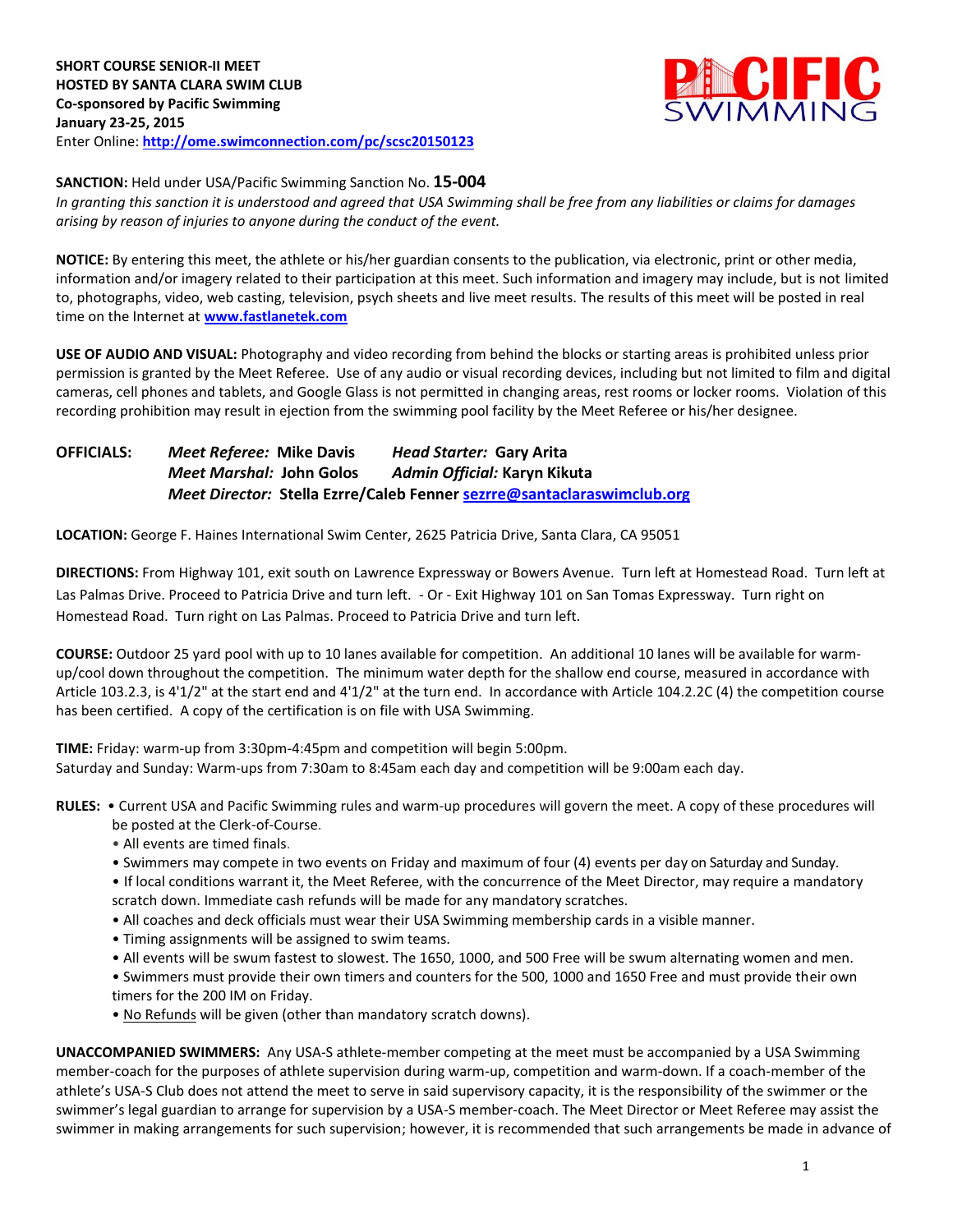

## **SANCTION:** Held under USA/Pacific Swimming Sanction No. **15-004**

*In granting this sanction it is understood and agreed that USA Swimming shall be free from any liabilities or claims for damages arising by reason of injuries to anyone during the conduct of the event.*

**NOTICE:** By entering this meet, the athlete or his/her guardian consents to the publication, via electronic, print or other media, information and/or imagery related to their participation at this meet. Such information and imagery may include, but is not limited to, photographs, video, web casting, television, psych sheets and live meet results. The results of this meet will be posted in real time on the Internet at **[www.fastlanetek.com](http://www.fastlanetek.com/)**

**USE OF AUDIO AND VISUAL:** Photography and video recording from behind the blocks or starting areas is prohibited unless prior permission is granted by the Meet Referee. Use of any audio or visual recording devices, including but not limited to film and digital cameras, cell phones and tablets, and Google Glass is not permitted in changing areas, rest rooms or locker rooms. Violation of this recording prohibition may result in ejection from the swimming pool facility by the Meet Referee or his/her designee.

## **OFFICIALS:** *Meet Referee:* **Mike Davis** *Head Starter:* **Gary Arita** *Meet Marshal:* **John Golos** *Admin Official:* **Karyn Kikuta** *Meet Director:* **Stella Ezrre/Caleb Fenne[r sezrre@santaclaraswimclub.org](mailto:sezrre@santaclaraswimclub.org)**

**LOCATION:** George F. Haines International Swim Center, 2625 Patricia Drive, Santa Clara, CA 95051

**DIRECTIONS:** From Highway 101, exit south on Lawrence Expressway or Bowers Avenue. Turn left at Homestead Road. Turn left at Las Palmas Drive. Proceed to Patricia Drive and turn left. - Or - Exit Highway 101 on San Tomas Expressway. Turn right on Homestead Road. Turn right on Las Palmas. Proceed to Patricia Drive and turn left.

**COURSE:** Outdoor 25 yard pool with up to 10 lanes available for competition. An additional 10 lanes will be available for warmup/cool down throughout the competition. The minimum water depth for the shallow end course, measured in accordance with Article 103.2.3, is 4'1/2" at the start end and 4'1/2" at the turn end. In accordance with Article 104.2.2C (4) the competition course has been certified. A copy of the certification is on file with USA Swimming.

**TIME:** Friday: warm-up from 3:30pm-4:45pm and competition will begin 5:00pm. Saturday and Sunday: Warm-ups from 7:30am to 8:45am each day and competition will be 9:00am each day.

- **RULES:** Current USA and Pacific Swimming rules and warm-up procedures will govern the meet. A copy of these procedures will be posted at the Clerk-of-Course.
	- All events are timed finals.
	- Swimmers may compete in two events on Friday and maximum of four (4) events per day on Saturday and Sunday.
	- If local conditions warrant it, the Meet Referee, with the concurrence of the Meet Director, may require a mandatory scratch down. Immediate cash refunds will be made for any mandatory scratches.
	- All coaches and deck officials must wear their USA Swimming membership cards in a visible manner.
	- Timing assignments will be assigned to swim teams.
	- All events will be swum fastest to slowest. The 1650, 1000, and 500 Free will be swum alternating women and men.
	- Swimmers must provide their own timers and counters for the 500, 1000 and 1650 Free and must provide their own timers for the 200 IM on Friday.
	- No Refunds will be given (other than mandatory scratch downs).

**UNACCOMPANIED SWIMMERS:** Any USA-S athlete-member competing at the meet must be accompanied by a USA Swimming member-coach for the purposes of athlete supervision during warm-up, competition and warm-down. If a coach-member of the athlete's USA-S Club does not attend the meet to serve in said supervisory capacity, it is the responsibility of the swimmer or the swimmer's legal guardian to arrange for supervision by a USA-S member-coach. The Meet Director or Meet Referee may assist the swimmer in making arrangements for such supervision; however, it is recommended that such arrangements be made in advance of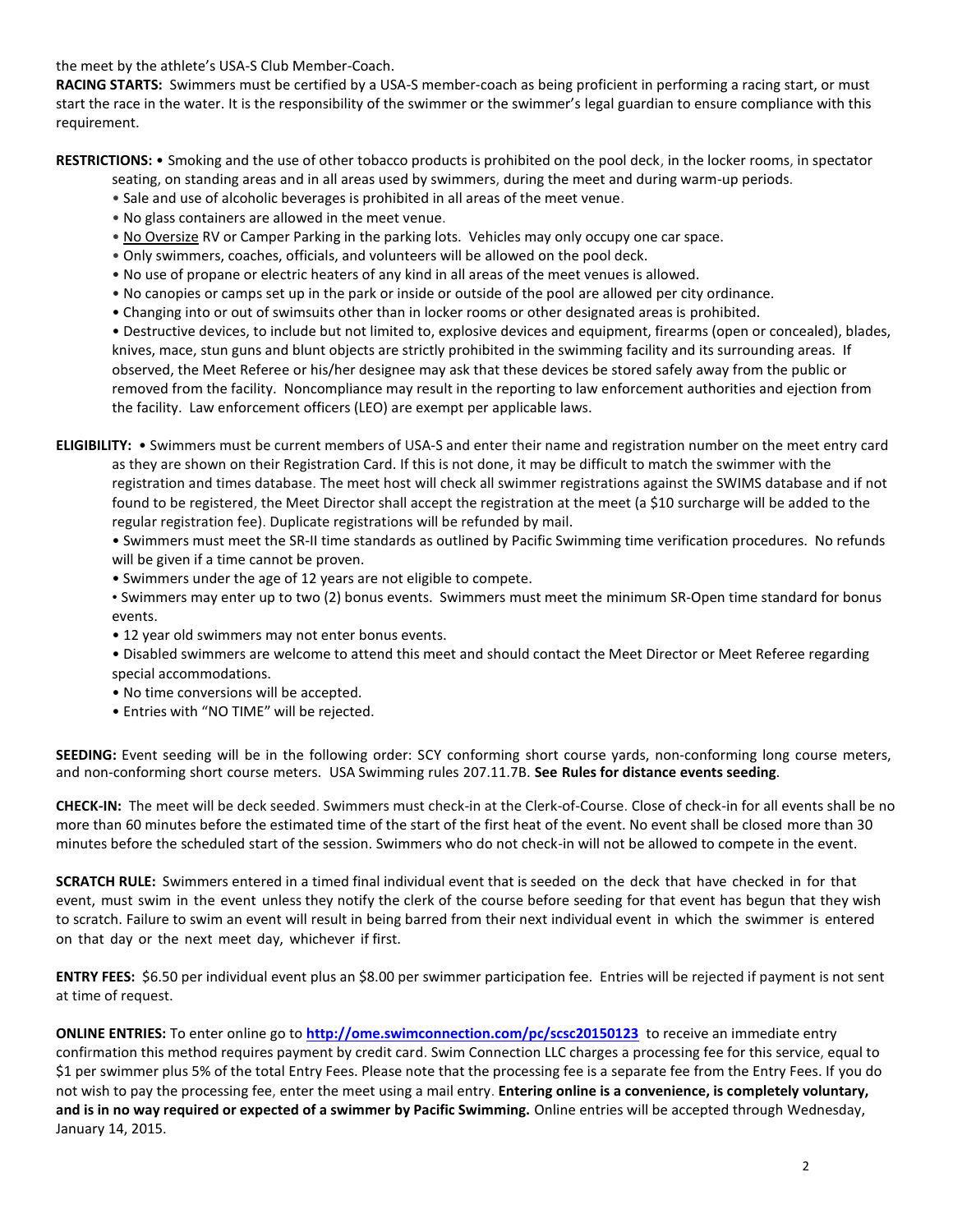the meet by the athlete's USA-S Club Member-Coach.

**RACING STARTS:** Swimmers must be certified by a USA-S member-coach as being proficient in performing a racing start, or must start the race in the water. It is the responsibility of the swimmer or the swimmer's legal guardian to ensure compliance with this requirement.

**RESTRICTIONS:** • Smoking and the use of other tobacco products is prohibited on the pool deck, in the locker rooms, in spectator

seating, on standing areas and in all areas used by swimmers, during the meet and during warm-up periods.

- Sale and use of alcoholic beverages is prohibited in all areas of the meet venue.
- No glass containers are allowed in the meet venue.
- No Oversize RV or Camper Parking in the parking lots. Vehicles may only occupy one car space.
- Only swimmers, coaches, officials, and volunteers will be allowed on the pool deck.
- No use of propane or electric heaters of any kind in all areas of the meet venues is allowed.
- No canopies or camps set up in the park or inside or outside of the pool are allowed per city ordinance.
- Changing into or out of swimsuits other than in locker rooms or other designated areas is prohibited.

• Destructive devices, to include but not limited to, explosive devices and equipment, firearms (open or concealed), blades, knives, mace, stun guns and blunt objects are strictly prohibited in the swimming facility and its surrounding areas. If observed, the Meet Referee or his/her designee may ask that these devices be stored safely away from the public or removed from the facility. Noncompliance may result in the reporting to law enforcement authorities and ejection from the facility. Law enforcement officers (LEO) are exempt per applicable laws.

**ELIGIBILITY:** • Swimmers must be current members of USA-S and enter their name and registration number on the meet entry card as they are shown on their Registration Card. If this is not done, it may be difficult to match the swimmer with the registration and times database. The meet host will check all swimmer registrations against the SWIMS database and if not found to be registered, the Meet Director shall accept the registration at the meet (a \$10 surcharge will be added to the regular registration fee). Duplicate registrations will be refunded by mail.

• Swimmers must meet the SR-II time standards as outlined by Pacific Swimming time verification procedures. No refunds will be given if a time cannot be proven.

- Swimmers under the age of 12 years are not eligible to compete.
- Swimmers may enter up to two (2) bonus events. Swimmers must meet the minimum SR-Open time standard for bonus events.
- 12 year old swimmers may not enter bonus events.
- Disabled swimmers are welcome to attend this meet and should contact the Meet Director or Meet Referee regarding special accommodations.
- No time conversions will be accepted.
- Entries with "NO TIME" will be rejected.

**SEEDING:** Event seeding will be in the following order: SCY conforming short course yards, non-conforming long course meters, and non-conforming short course meters. USA Swimming rules 207.11.7B. **See Rules for distance events seeding**.

**CHECK-IN:** The meet will be deck seeded. Swimmers must check-in at the Clerk-of-Course. Close of check‐in for all events shall be no more than 60 minutes before the estimated time of the start of the first heat of the event. No event shall be closed more than 30 minutes before the scheduled start of the session. Swimmers who do not check-in will not be allowed to compete in the event.

**SCRATCH RULE:** Swimmers entered in a timed final individual event that is seeded on the deck that have checked in for that event, must swim in the event unless they notify the clerk of the course before seeding for that event has begun that they wish to scratch. Failure to swim an event will result in being barred from their next individual event in which the swimmer is entered on that day or the next meet day, whichever if first.

**ENTRY FEES:** \$6.50 per individual event plus an \$8.00 per swimmer participation fee. Entries will be rejected if payment is not sent at time of request.

**ONLINE ENTRIES:** To enter online go to **<http://ome.swimconnection.com/pc/scsc20150123>** to receive an immediate entry confirmation this method requires payment by credit card. Swim Connection LLC charges a processing fee for this service, equal to \$1 per swimmer plus 5% of the total Entry Fees. Please note that the processing fee is a separate fee from the Entry Fees. If you do not wish to pay the processing fee, enter the meet using a mail entry. **Entering online is a convenience, is completely voluntary, and is in no way required or expected of a swimmer by Pacific Swimming.** Online entries will be accepted through Wednesday, January 14, 2015.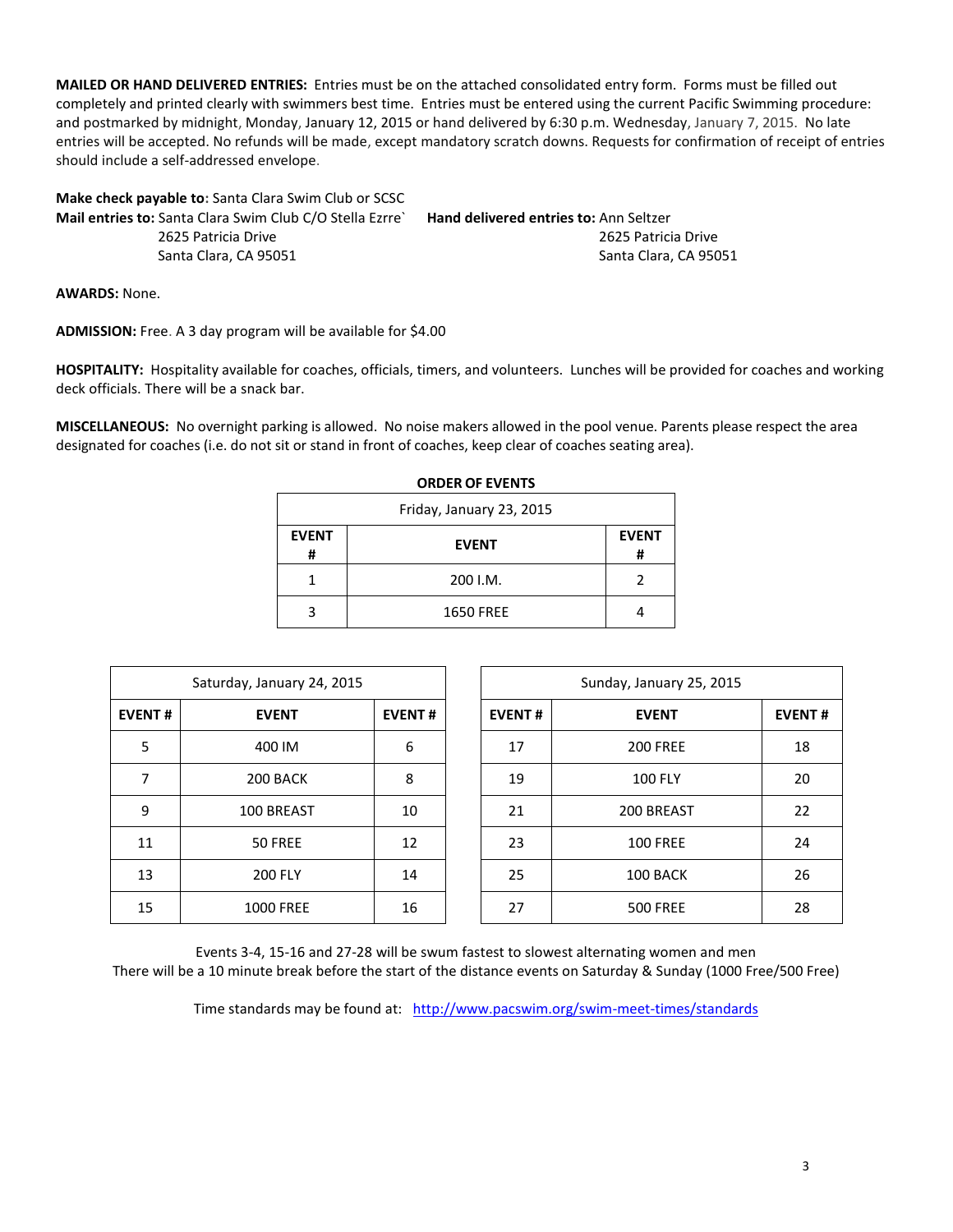**MAILED OR HAND DELIVERED ENTRIES:** Entries must be on the attached consolidated entry form. Forms must be filled out completely and printed clearly with swimmers best time. Entries must be entered using the current Pacific Swimming procedure: and postmarked by midnight, Monday, January 12, 2015 or hand delivered by 6:30 p.m. Wednesday, January 7, 2015. No late entries will be accepted. No refunds will be made, except mandatory scratch downs. Requests for confirmation of receipt of entries should include a self-addressed envelope.

| <b>Hand delivered entries to: Ann Seltzer</b> |
|-----------------------------------------------|
| 2625 Patricia Drive                           |
| Santa Clara, CA 95051                         |
|                                               |

**AWARDS:** None.

**ADMISSION:** Free. A 3 day program will be available for \$4.00

**HOSPITALITY:** Hospitality available for coaches, officials, timers, and volunteers. Lunches will be provided for coaches and working deck officials. There will be a snack bar.

**MISCELLANEOUS:** No overnight parking is allowed. No noise makers allowed in the pool venue. Parents please respect the area designated for coaches (i.e. do not sit or stand in front of coaches, keep clear of coaches seating area).

| <b>EVENT</b><br># | <b>EVENT</b>     | <b>EVENT</b><br># |  |  |  |  |  |  |  |
|-------------------|------------------|-------------------|--|--|--|--|--|--|--|
|                   | 200 I.M.         | 2                 |  |  |  |  |  |  |  |
|                   | <b>1650 FREE</b> |                   |  |  |  |  |  |  |  |

| <b>ORDER OF EVENTS</b> |  |  |
|------------------------|--|--|
|------------------------|--|--|

|               | Saturday, January 24, 2015 |               |               | Sunday, January 25, 2015 |               |
|---------------|----------------------------|---------------|---------------|--------------------------|---------------|
| <b>EVENT#</b> | <b>EVENT</b>               | <b>EVENT#</b> | <b>EVENT#</b> | <b>EVENT</b>             | <b>EVENT#</b> |
| 5             | 400 IM                     | 6             | 17            | <b>200 FREE</b>          | 18            |
| 7             | 200 BACK                   | 8             | 19            | <b>100 FLY</b>           | 20            |
| 9             | 100 BREAST                 | 10            | 21            | 200 BREAST               | 22            |
| 11            | 50 FREE                    | 12            | 23            | <b>100 FREE</b>          | 24            |
| 13            | <b>200 FLY</b>             | 14            | 25            | 100 BACK                 | 26            |
| 15            | <b>1000 FREE</b>           | 16            | 27            | <b>500 FREE</b>          | 28            |

Events 3-4, 15-16 and 27-28 will be swum fastest to slowest alternating women and men There will be a 10 minute break before the start of the distance events on Saturday & Sunday (1000 Free/500 Free)

Time standards may be found at: <http://www.pacswim.org/swim-meet-times/standards>